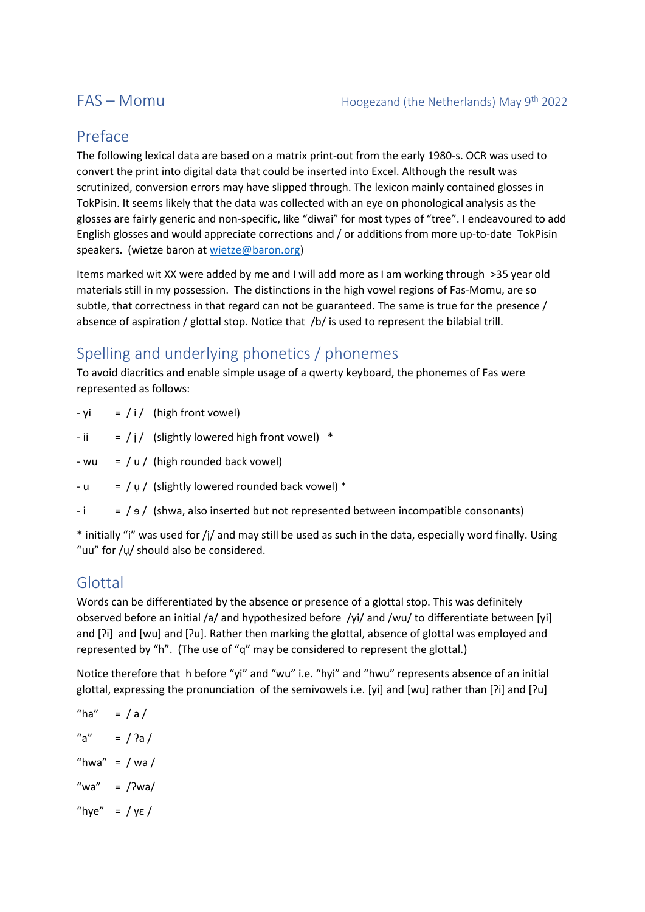## Preface

The following lexical data are based on a matrix print-out from the early 1980-s. OCR was used to convert the print into digital data that could be inserted into Excel. Although the result was scrutinized, conversion errors may have slipped through. The lexicon mainly contained glosses in TokPisin. It seems likely that the data was collected with an eye on phonological analysis as the glosses are fairly generic and non-specific, like "diwai" for most types of "tree". I endeavoured to add English glosses and would appreciate corrections and / or additions from more up-to-date TokPisin speakers. (wietze baron a[t wietze@baron.org\)](mailto:wietze@baron.org)

Items marked wit XX were added by me and I will add more as I am working through >35 year old materials still in my possession. The distinctions in the high vowel regions of Fas-Momu, are so subtle, that correctness in that regard can not be guaranteed. The same is true for the presence / absence of aspiration / glottal stop. Notice that /b/ is used to represent the bilabial trill.

# Spelling and underlying phonetics / phonemes

To avoid diacritics and enable simple usage of a qwerty keyboard, the phonemes of Fas were represented as follows:

- $-yi = i / (high front vowel)$
- $-i$  = / i/ (slightly lowered high front vowel)  $*$
- wu =  $/ u /$  (high rounded back vowel)
- u =  $/\mu$  / (slightly lowered rounded back vowel) \*
- $-i = / 9$  / (shwa, also inserted but not represented between incompatible consonants)

\* initially "i" was used for /ị/ and may still be used as such in the data, especially word finally. Using "uu" for /ụ/ should also be considered.

## Glottal

Words can be differentiated by the absence or presence of a glottal stop. This was definitely observed before an initial /a/ and hypothesized before /yi/ and /wu/ to differentiate between [yi] and [ʔi] and [wu] and [ʔu]. Rather then marking the glottal, absence of glottal was employed and represented by "h". (The use of "q" may be considered to represent the glottal.)

Notice therefore that h before "yi" and "wu" i.e. "hyi" and "hwu" represents absence of an initial glottal, expressing the pronunciation of the semivowels i.e. [yi] and [wu] rather than [ʔi] and [ʔu]

\n
$$
\text{"ha"} = \text{ / a /}
$$
\n

\n\n $\text{"a"} = \text{ / 2a /}$ \n

\n\n $\text{"hwa"} = \text{ / wa /}$ \n

\n\n $\text{"wa"} = \text{ /2wa /}$ \n

\n\n $\text{``hye"} = \text{ / ye /}$ \n